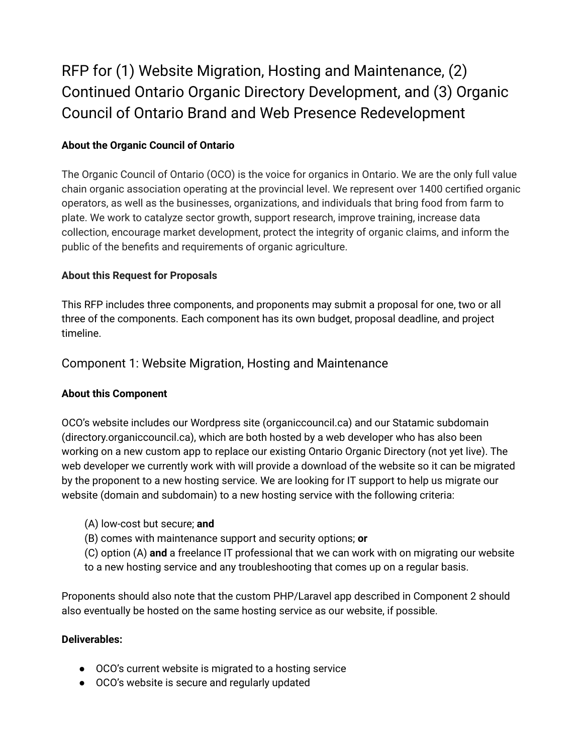# RFP for (1) Website Migration, Hosting and Maintenance, (2) Continued Ontario Organic Directory Development, and (3) Organic Council of Ontario Brand and Web Presence Redevelopment

# **About the Organic Council of Ontario**

The Organic Council of Ontario (OCO) is the voice for organics in Ontario. We are the only full value chain organic association operating at the provincial level. We represent over 1400 certified organic operators, as well as the businesses, organizations, and individuals that bring food from farm to plate. We work to catalyze sector growth, support research, improve training, increase data collection, encourage market development, protect the integrity of organic claims, and inform the public of the benefits and requirements of organic agriculture.

# **About this Request for Proposals**

This RFP includes three components, and proponents may submit a proposal for one, two or all three of the components. Each component has its own budget, proposal deadline, and project timeline.

# Component 1: Website Migration, Hosting and Maintenance

# **About this Component**

OCO's website includes our Wordpress site (organiccouncil.ca) and our Statamic subdomain (directory.organiccouncil.ca), which are both hosted by a web developer who has also been working on a new custom app to replace our existing Ontario Organic Directory (not yet live). The web developer we currently work with will provide a download of the website so it can be migrated by the proponent to a new hosting service. We are looking for IT support to help us migrate our website (domain and subdomain) to a new hosting service with the following criteria:

- (A) low-cost but secure; **and**
- (B) comes with maintenance support and security options; **or**
- (C) option (A) **and** a freelance IT professional that we can work with on migrating our website to a new hosting service and any troubleshooting that comes up on a regular basis.

Proponents should also note that the custom PHP/Laravel app described in Component 2 should also eventually be hosted on the same hosting service as our website, if possible.

## **Deliverables:**

- OCO's current website is migrated to a hosting service
- OCO's website is secure and regularly updated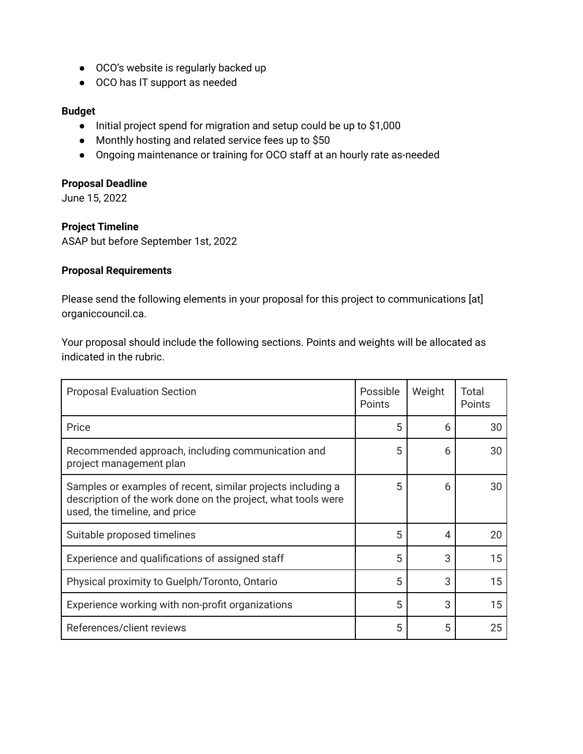- OCO's website is regularly backed up
- OCO has IT support as needed

#### **Budget**

- Initial project spend for migration and setup could be up to \$1,000
- Monthly hosting and related service fees up to \$50
- Ongoing maintenance or training for OCO staff at an hourly rate as-needed

#### **Proposal Deadline**

June 15, 2022

#### **Project Timeline**

ASAP but before September 1st, 2022

#### **Proposal Requirements**

Please send the following elements in your proposal for this project to communications [at] organiccouncil.ca.

Your proposal should include the following sections. Points and weights will be allocated as indicated in the rubric.

| <b>Proposal Evaluation Section</b>                                                                                                                           | Possible<br>Points | Weight | Total<br>Points |
|--------------------------------------------------------------------------------------------------------------------------------------------------------------|--------------------|--------|-----------------|
| Price                                                                                                                                                        | 5                  | 6      | 30              |
| Recommended approach, including communication and<br>project management plan                                                                                 | 5                  | 6      | 30              |
| Samples or examples of recent, similar projects including a<br>description of the work done on the project, what tools were<br>used, the timeline, and price | 5                  | 6      | 30              |
| Suitable proposed timelines                                                                                                                                  | 5                  | 4      | 20              |
| Experience and qualifications of assigned staff                                                                                                              | 5                  | 3      | 15              |
| Physical proximity to Guelph/Toronto, Ontario                                                                                                                | 5                  | 3      | 15              |
| Experience working with non-profit organizations                                                                                                             | 5                  | 3      | 15              |
| References/client reviews                                                                                                                                    | 5                  | 5      | 25              |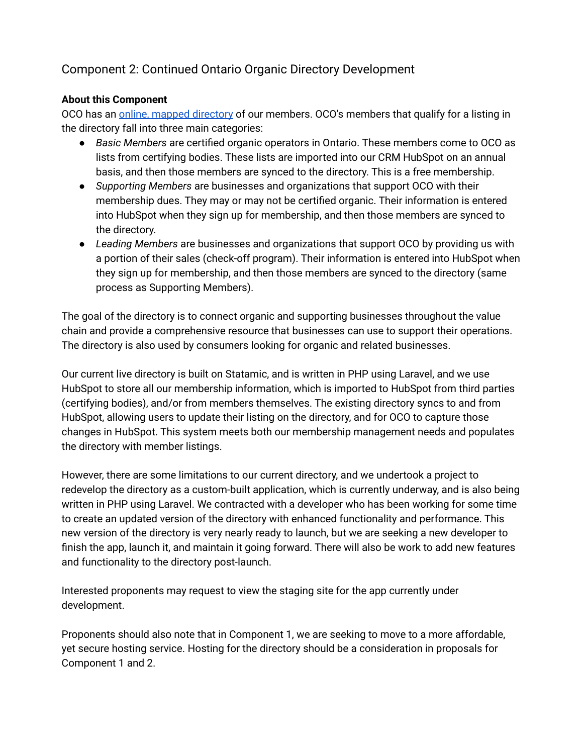# Component 2: Continued Ontario Organic Directory Development

#### **About this Component**

OCO has an online, mapped [directory](https://directory.organiccouncil.ca/directory?view=map) of our members. OCO's members that qualify for a listing in the directory fall into three main categories:

- *Basic Members* are certified organic operators in Ontario. These members come to OCO as lists from certifying bodies. These lists are imported into our CRM HubSpot on an annual basis, and then those members are synced to the directory. This is a free membership.
- *Supporting Members* are businesses and organizations that support OCO with their membership dues. They may or may not be certified organic. Their information is entered into HubSpot when they sign up for membership, and then those members are synced to the directory.
- *Leading Members* are businesses and organizations that support OCO by providing us with a portion of their sales (check-off program). Their information is entered into HubSpot when they sign up for membership, and then those members are synced to the directory (same process as Supporting Members).

The goal of the directory is to connect organic and supporting businesses throughout the value chain and provide a comprehensive resource that businesses can use to support their operations. The directory is also used by consumers looking for organic and related businesses.

Our current live directory is built on Statamic, and is written in PHP using Laravel, and we use HubSpot to store all our membership information, which is imported to HubSpot from third parties (certifying bodies), and/or from members themselves. The existing directory syncs to and from HubSpot, allowing users to update their listing on the directory, and for OCO to capture those changes in HubSpot. This system meets both our membership management needs and populates the directory with member listings.

However, there are some limitations to our current directory, and we undertook a project to redevelop the directory as a custom-built application, which is currently underway, and is also being written in PHP using Laravel. We contracted with a developer who has been working for some time to create an updated version of the directory with enhanced functionality and performance. This new version of the directory is very nearly ready to launch, but we are seeking a new developer to finish the app, launch it, and maintain it going forward. There will also be work to add new features and functionality to the directory post-launch.

Interested proponents may request to view the staging site for the app currently under development.

Proponents should also note that in Component 1, we are seeking to move to a more affordable, yet secure hosting service. Hosting for the directory should be a consideration in proposals for Component 1 and 2.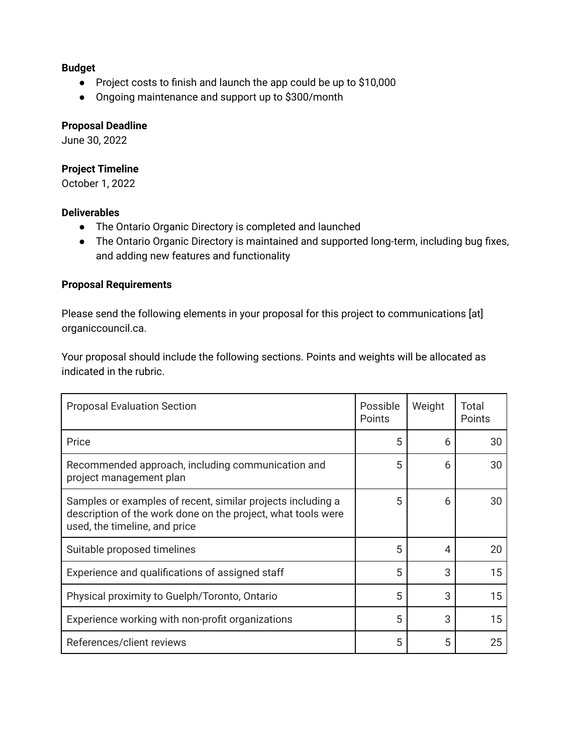#### **Budget**

- Project costs to finish and launch the app could be up to \$10,000
- Ongoing maintenance and support up to \$300/month

#### **Proposal Deadline**

June 30, 2022

# **Project Timeline**

October 1, 2022

## **Deliverables**

- The Ontario Organic Directory is completed and launched
- The Ontario Organic Directory is maintained and supported long-term, including bug fixes, and adding new features and functionality

# **Proposal Requirements**

Please send the following elements in your proposal for this project to communications [at] organiccouncil.ca.

Your proposal should include the following sections. Points and weights will be allocated as indicated in the rubric.

| <b>Proposal Evaluation Section</b>                                                                                                                           | Possible<br>Points | Weight | Total<br><b>Points</b> |
|--------------------------------------------------------------------------------------------------------------------------------------------------------------|--------------------|--------|------------------------|
| Price                                                                                                                                                        | 5                  | 6      | 30                     |
| Recommended approach, including communication and<br>project management plan                                                                                 | 5                  | 6      | 30                     |
| Samples or examples of recent, similar projects including a<br>description of the work done on the project, what tools were<br>used, the timeline, and price | 5                  | 6      | 30                     |
| Suitable proposed timelines                                                                                                                                  | 5                  | 4      | 20                     |
| Experience and qualifications of assigned staff                                                                                                              | 5                  | 3      | 15                     |
| Physical proximity to Guelph/Toronto, Ontario                                                                                                                | 5                  | 3      | 15                     |
| Experience working with non-profit organizations                                                                                                             | 5                  | 3      | 15                     |
| References/client reviews                                                                                                                                    | 5                  | 5      | 25                     |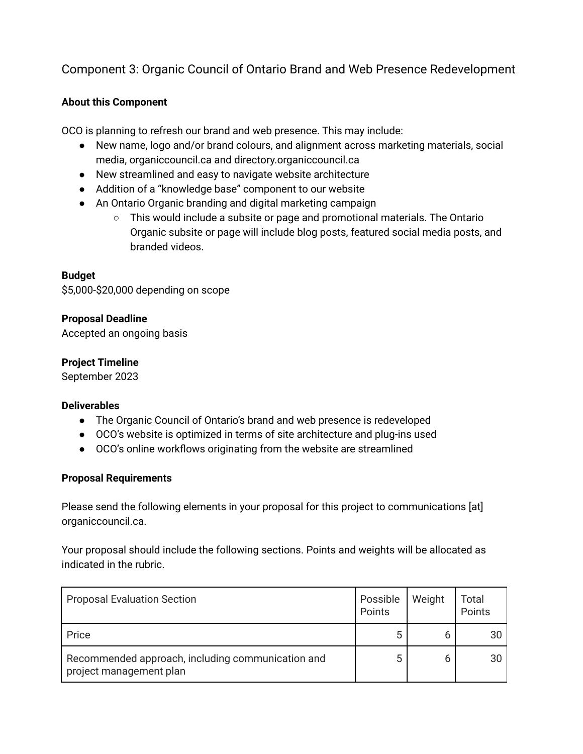# Component 3: Organic Council of Ontario Brand and Web Presence Redevelopment

# **About this Component**

OCO is planning to refresh our brand and web presence. This may include:

- New name, logo and/or brand colours, and alignment across marketing materials, social media, organiccouncil.ca and directory.organiccouncil.ca
- New streamlined and easy to navigate website architecture
- Addition of a "knowledge base" component to our website
- An Ontario Organic branding and digital marketing campaign
	- $\circ$  This would include a subsite or page and promotional materials. The Ontario Organic subsite or page will include blog posts, featured social media posts, and branded videos.

## **Budget**

\$5,000-\$20,000 depending on scope

#### **Proposal Deadline**

Accepted an ongoing basis

#### **Project Timeline**

September 2023

#### **Deliverables**

- The Organic Council of Ontario's brand and web presence is redeveloped
- OCO's website is optimized in terms of site architecture and plug-ins used
- OCO's online workflows originating from the website are streamlined

#### **Proposal Requirements**

Please send the following elements in your proposal for this project to communications [at] organiccouncil.ca.

Your proposal should include the following sections. Points and weights will be allocated as indicated in the rubric.

| <b>Proposal Evaluation Section</b>                                           | Possible<br>Points | Weight | Total<br>Points |
|------------------------------------------------------------------------------|--------------------|--------|-----------------|
| Price                                                                        | 5                  |        | 30              |
| Recommended approach, including communication and<br>project management plan | 5                  |        | 30              |